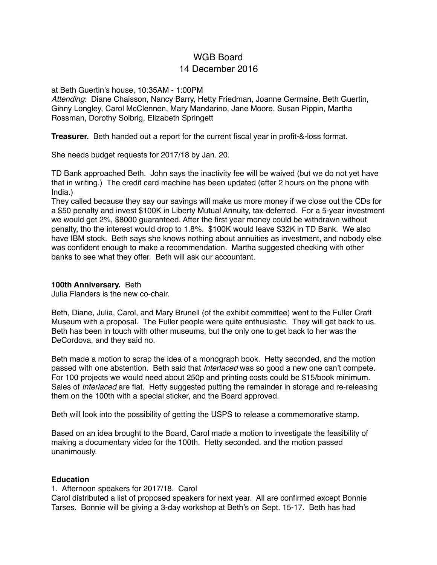# WGB Board 14 December 2016

#### at Beth Guertin's house, 10:35AM - 1:00PM

*Attending*: Diane Chaisson, Nancy Barry, Hetty Friedman, Joanne Germaine, Beth Guertin, Ginny Longley, Carol McClennen, Mary Mandarino, Jane Moore, Susan Pippin, Martha Rossman, Dorothy Solbrig, Elizabeth Springett

**Treasurer.** Beth handed out a report for the current fiscal year in profit-&-loss format.

She needs budget requests for 2017/18 by Jan. 20.

TD Bank approached Beth. John says the inactivity fee will be waived (but we do not yet have that in writing.) The credit card machine has been updated (after 2 hours on the phone with India.)

They called because they say our savings will make us more money if we close out the CDs for a \$50 penalty and invest \$100K in Liberty Mutual Annuity, tax-deferred. For a 5-year investment we would get 2%, \$8000 guaranteed. After the first year money could be withdrawn without penalty, tho the interest would drop to 1.8%. \$100K would leave \$32K in TD Bank. We also have IBM stock. Beth says she knows nothing about annuities as investment, and nobody else was confident enough to make a recommendation. Martha suggested checking with other banks to see what they offer. Beth will ask our accountant.

## **100th Anniversary.** Beth

Julia Flanders is the new co-chair.

Beth, Diane, Julia, Carol, and Mary Brunell (of the exhibit committee) went to the Fuller Craft Museum with a proposal. The Fuller people were quite enthusiastic. They will get back to us. Beth has been in touch with other museums, but the only one to get back to her was the DeCordova, and they said no.

Beth made a motion to scrap the idea of a monograph book. Hetty seconded, and the motion passed with one abstention. Beth said that *Interlaced* was so good a new one can't compete. For 100 projects we would need about 250p and printing costs could be \$15/book minimum. Sales of *Interlaced* are flat. Hetty suggested putting the remainder in storage and re-releasing them on the 100th with a special sticker, and the Board approved.

Beth will look into the possibility of getting the USPS to release a commemorative stamp.

Based on an idea brought to the Board, Carol made a motion to investigate the feasibility of making a documentary video for the 100th. Hetty seconded, and the motion passed unanimously.

# **Education**

#### 1. Afternoon speakers for 2017/18. Carol

Carol distributed a list of proposed speakers for next year. All are confirmed except Bonnie Tarses. Bonnie will be giving a 3-day workshop at Beth's on Sept. 15-17. Beth has had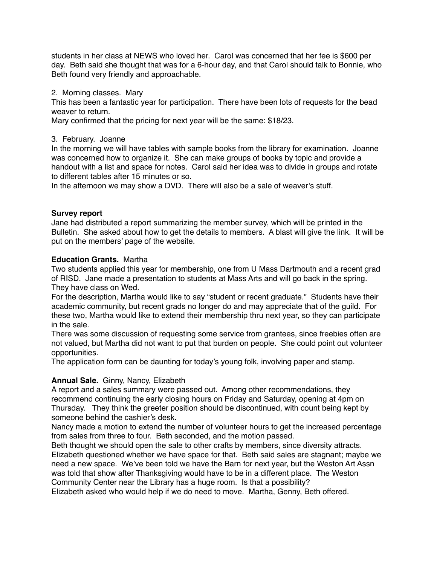students in her class at NEWS who loved her. Carol was concerned that her fee is \$600 per day. Beth said she thought that was for a 6-hour day, and that Carol should talk to Bonnie, who Beth found very friendly and approachable.

2. Morning classes. Mary

This has been a fantastic year for participation. There have been lots of requests for the bead weaver to return.

Mary confirmed that the pricing for next year will be the same: \$18/23.

## 3. February. Joanne

In the morning we will have tables with sample books from the library for examination. Joanne was concerned how to organize it. She can make groups of books by topic and provide a handout with a list and space for notes. Carol said her idea was to divide in groups and rotate to different tables after 15 minutes or so.

In the afternoon we may show a DVD. There will also be a sale of weaver's stuff.

# **Survey report**

Jane had distributed a report summarizing the member survey, which will be printed in the Bulletin. She asked about how to get the details to members. A blast will give the link. It will be put on the members' page of the website.

# **Education Grants.** Martha

Two students applied this year for membership, one from U Mass Dartmouth and a recent grad of RISD. Jane made a presentation to students at Mass Arts and will go back in the spring. They have class on Wed.

For the description, Martha would like to say "student or recent graduate." Students have their academic community, but recent grads no longer do and may appreciate that of the guild. For these two, Martha would like to extend their membership thru next year, so they can participate in the sale.

There was some discussion of requesting some service from grantees, since freebies often are not valued, but Martha did not want to put that burden on people. She could point out volunteer opportunities.

The application form can be daunting for today's young folk, involving paper and stamp.

# **Annual Sale.** Ginny, Nancy, Elizabeth

A report and a sales summary were passed out. Among other recommendations, they recommend continuing the early closing hours on Friday and Saturday, opening at 4pm on Thursday. They think the greeter position should be discontinued, with count being kept by someone behind the cashier's desk.

Nancy made a motion to extend the number of volunteer hours to get the increased percentage from sales from three to four. Beth seconded, and the motion passed.

Beth thought we should open the sale to other crafts by members, since diversity attracts. Elizabeth questioned whether we have space for that. Beth said sales are stagnant; maybe we need a new space. We've been told we have the Barn for next year, but the Weston Art Assn was told that show after Thanksgiving would have to be in a different place. The Weston Community Center near the Library has a huge room. Is that a possibility?

Elizabeth asked who would help if we do need to move. Martha, Genny, Beth offered.